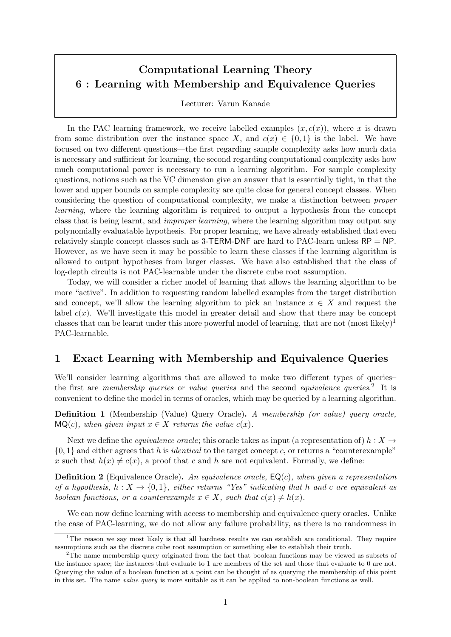# Computational Learning Theory 6 : Learning with Membership and Equivalence Queries

Lecturer: Varun Kanade

In the PAC learning framework, we receive labelled examples  $(x, c(x))$ , where x is drawn from some distribution over the instance space X, and  $c(x) \in \{0,1\}$  is the label. We have focused on two different questions—the first regarding sample complexity asks how much data is necessary and sufficient for learning, the second regarding computational complexity asks how much computational power is necessary to run a learning algorithm. For sample complexity questions, notions such as the VC dimension give an answer that is essentially tight, in that the lower and upper bounds on sample complexity are quite close for general concept classes. When considering the question of computational complexity, we make a distinction between proper learning, where the learning algorithm is required to output a hypothesis from the concept class that is being learnt, and improper learning, where the learning algorithm may output any polynomially evaluatable hypothesis. For proper learning, we have already established that even relatively simple concept classes such as 3-TERM-DNF are hard to PAC-learn unless RP = NP. However, as we have seen it may be possible to learn these classes if the learning algorithm is allowed to output hypotheses from larger classes. We have also established that the class of log-depth circuits is not PAC-learnable under the discrete cube root assumption.

Today, we will consider a richer model of learning that allows the learning algorithm to be more "active". In addition to requesting random labelled examples from the target distribution and concept, we'll allow the learning algorithm to pick an instance  $x \in X$  and request the label  $c(x)$ . We'll investigate this model in greater detail and show that there may be concept classes that can be learnt under this more powerful model of learning, that are not  $(most$  likely)<sup>1</sup> PAC-learnable.

### 1 Exact Learning with Membership and Equivalence Queries

We'll consider learning algorithms that are allowed to make two different types of queries– the first are *membership queries* or *value queries* and the second *equivalence queries*.<sup>2</sup> It is convenient to define the model in terms of oracles, which may be queried by a learning algorithm.

Definition 1 (Membership (Value) Query Oracle). A membership (or value) query oracle,  $MQ(c)$ , when given input  $x \in X$  returns the value  $c(x)$ .

Next we define the *equivalence oracle*; this oracle takes as input (a representation of)  $h : X \rightarrow$  $\{0,1\}$  and either agrees that h is *identical* to the target concept c, or returns a "counterexample" x such that  $h(x) \neq c(x)$ , a proof that c and h are not equivalent. Formally, we define:

**Definition 2** (Equivalence Oracle). An equivalence oracle,  $EQ(c)$ , when given a representation of a hypothesis,  $h: X \to \{0,1\}$ , either returns "Yes" indicating that h and c are equivalent as boolean functions, or a counterexample  $x \in X$ , such that  $c(x) \neq h(x)$ .

We can now define learning with access to membership and equivalence query oracles. Unlike the case of PAC-learning, we do not allow any failure probability, as there is no randomness in

<sup>&</sup>lt;sup>1</sup>The reason we say most likely is that all hardness results we can establish are conditional. They require assumptions such as the discrete cube root assumption or something else to establish their truth.

<sup>&</sup>lt;sup>2</sup>The name membership query originated from the fact that boolean functions may be viewed as subsets of the instance space; the instances that evaluate to 1 are members of the set and those that evaluate to 0 are not. Querying the value of a boolean function at a point can be thought of as querying the membership of this point in this set. The name value query is more suitable as it can be applied to non-boolean functions as well.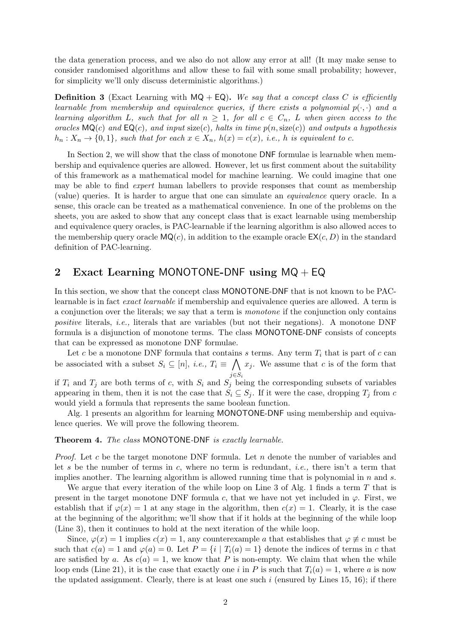the data generation process, and we also do not allow any error at all! (It may make sense to consider randomised algorithms and allow these to fail with some small probability; however, for simplicity we'll only discuss deterministic algorithms.)

**Definition 3** (Exact Learning with  $MQ + EQ$ ). We say that a concept class C is efficiently learnable from membership and equivalence queries, if there exists a polynomial  $p(\cdot, \cdot)$  and a learning algorithm L, such that for all  $n \geq 1$ , for all  $c \in C_n$ , L when given access to the oracles  $MQ(c)$  and  $EQ(c)$ , and input size(c), halts in time  $p(n, size(c))$  and outputs a hypothesis  $h_n: X_n \to \{0,1\}$ , such that for each  $x \in X_n$ ,  $h(x) = c(x)$ , i.e., h is equivalent to c.

In Section 2, we will show that the class of monotone DNF formulae is learnable when membership and equivalence queries are allowed. However, let us first comment about the suitability of this framework as a mathematical model for machine learning. We could imagine that one may be able to find expert human labellers to provide responses that count as membership (value) queries. It is harder to argue that one can simulate an equivalence query oracle. In a sense, this oracle can be treated as a mathematical convenience. In one of the problems on the sheets, you are asked to show that any concept class that is exact learnable using membership and equivalence query oracles, is PAC-learnable if the learning algorithm is also allowed acces to the membership query oracle  $MQ(c)$ , in addition to the example oracle  $EX(c, D)$  in the standard definition of PAC-learning.

### 2 Exact Learning MONOTONE-DNF using  $MQ + EQ$

In this section, we show that the concept class MONOTONE-DNF that is not known to be PAClearnable is in fact exact learnable if membership and equivalence queries are allowed. A term is a conjunction over the literals; we say that a term is monotone if the conjunction only contains positive literals, i.e., literals that are variables (but not their negations). A monotone DNF formula is a disjunction of monotone terms. The class MONOTONE-DNF consists of concepts that can be expressed as monotone DNF formulae.

Let c be a monotone DNF formula that contains s terms. Any term  $T_i$  that is part of c can be associated with a subset  $S_i \subseteq [n]$ , *i.e.*,  $T_i \equiv \bigwedge x_j$ . We assume that c is of the form that  $j\in S_i$ 

if  $T_i$  and  $T_j$  are both terms of c, with  $S_i$  and  $S_j$  being the corresponding subsets of variables appearing in them, then it is not the case that  $S_i \subseteq S_j$ . If it were the case, dropping  $T_j$  from c would yield a formula that represents the same boolean function.

Alg. 1 presents an algorithm for learning MONOTONE-DNF using membership and equivalence queries. We will prove the following theorem.

#### Theorem 4. The class MONOTONE-DNF is exactly learnable.

*Proof.* Let c be the target monotone DNF formula. Let n denote the number of variables and let s be the number of terms in c, where no term is redundant, *i.e.*, there isn't a term that implies another. The learning algorithm is allowed running time that is polynomial in  $n$  and  $s$ .

We argue that every iteration of the while loop on Line 3 of Alg. 1 finds a term  $T$  that is present in the target monotone DNF formula c, that we have not yet included in  $\varphi$ . First, we establish that if  $\varphi(x) = 1$  at any stage in the algorithm, then  $c(x) = 1$ . Clearly, it is the case at the beginning of the algorithm; we'll show that if it holds at the beginning of the while loop (Line 3), then it continues to hold at the next iteration of the while loop.

Since,  $\varphi(x) = 1$  implies  $c(x) = 1$ , any counterexample a that establishes that  $\varphi \not\equiv c$  must be such that  $c(a) = 1$  and  $\varphi(a) = 0$ . Let  $P = \{i \mid T_i(a) = 1\}$  denote the indices of terms in c that are satisfied by a. As  $c(a) = 1$ , we know that P is non-empty. We claim that when the while loop ends (Line 21), it is the case that exactly one i in P is such that  $T_i(a) = 1$ , where a is now the updated assignment. Clearly, there is at least one such  $i$  (ensured by Lines 15, 16); if there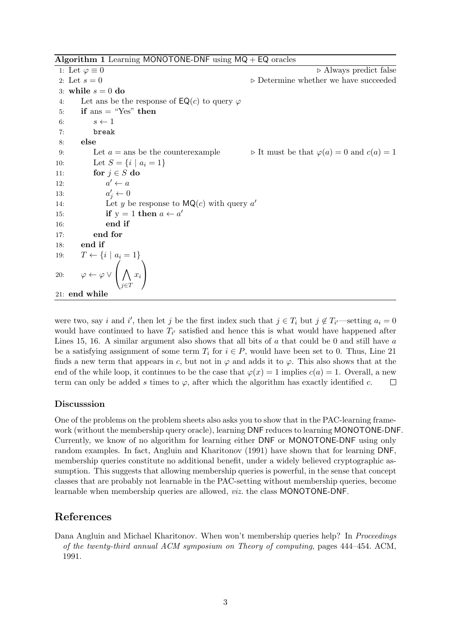Algorithm 1 Learning MONOTONE-DNF using  $MQ + EQ$  oracles

1: Let  $\varphi \equiv 0$   $\triangleright$  Always predict false 2: Let  $s = 0$   $\triangleright$  Determine whether we have succeeded 3: while  $s = 0$  do 4: Let ans be the response of  $\mathsf{EQ}(c)$  to query  $\varphi$ 5: if ans  $=$  "Yes" then 6:  $s \leftarrow 1$ 7: break 8: else 9: Let  $a = \text{ans be the counterexample}$  b It must be that  $\varphi(a) = 0$  and  $c(a) = 1$ 10: Let  $S = \{i \mid a_i = 1\}$ 11: for  $j \in S$  do  $12:$  $a' \leftarrow a$ 13:  $j \leftarrow 0$ 14: Let y be response to  $MQ(c)$  with query a' 15: **if**  $y = 1$  **then**  $a \leftarrow a'$ 16: end if 17: end for 18: end if 19:  $T \leftarrow \{i \mid a_i = 1\}$ 20:  $\varphi \leftarrow \varphi \vee$  $\sqrt{ }$  $\overline{1}$  $\wedge$ j∈T  $\hat{x_i}$  $\setminus$  $\overline{1}$ 21: end while

were two, say i and i', then let j be the first index such that  $j \in T_i$  but  $j \notin T_{i'}$ —setting  $a_i = 0$ would have continued to have  $T_{i'}$  satisfied and hence this is what would have happened after Lines 15, 16. A similar argument also shows that all bits of  $a$  that could be 0 and still have  $a$ be a satisfying assignment of some term  $T_i$  for  $i \in P$ , would have been set to 0. Thus, Line 21 finds a new term that appears in c, but not in  $\varphi$  and adds it to  $\varphi$ . This also shows that at the end of the while loop, it continues to be the case that  $\varphi(x) = 1$  implies  $c(a) = 1$ . Overall, a new term can only be added s times to  $\varphi$ , after which the algorithm has exactly identified c.  $\Box$ 

### Discusssion

One of the problems on the problem sheets also asks you to show that in the PAC-learning framework (without the membership query oracle), learning DNF reduces to learning MONOTONE-DNF. Currently, we know of no algorithm for learning either DNF or MONOTONE-DNF using only random examples. In fact, Angluin and Kharitonov (1991) have shown that for learning DNF, membership queries constitute no additional benefit, under a widely believed cryptographic assumption. This suggests that allowing membership queries is powerful, in the sense that concept classes that are probably not learnable in the PAC-setting without membership queries, become learnable when membership queries are allowed, viz. the class MONOTONE-DNF.

## References

Dana Angluin and Michael Kharitonov. When won't membership queries help? In *Proceedings* of the twenty-third annual ACM symposium on Theory of computing, pages 444–454. ACM, 1991.